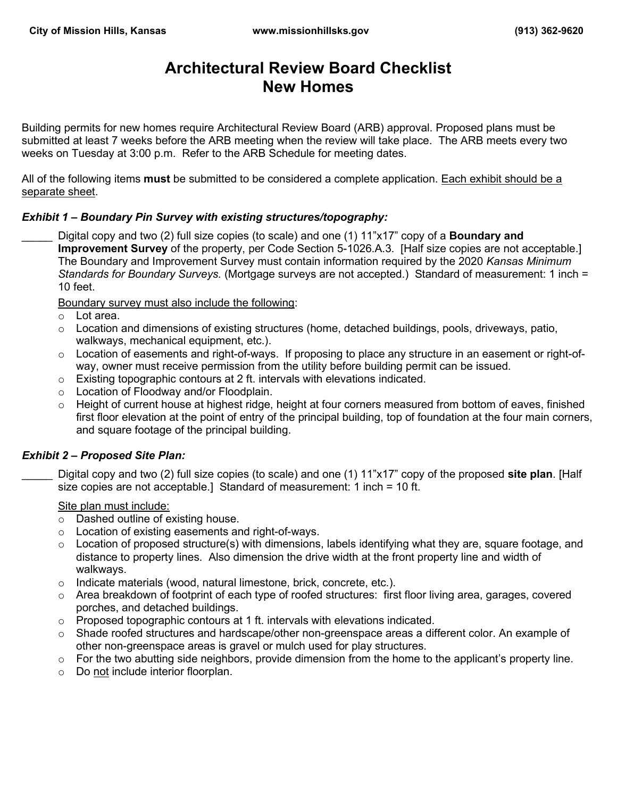# **Architectural Review Board Checklist New Homes**

Building permits for new homes require Architectural Review Board (ARB) approval. Proposed plans must be submitted at least 7 weeks before the ARB meeting when the review will take place. The ARB meets every two weeks on Tuesday at 3:00 p.m. Refer to the ARB Schedule for meeting dates.

All of the following items **must** be submitted to be considered a complete application. Each exhibit should be a separate sheet.

## *Exhibit 1 – Boundary Pin Survey with existing structures/topography:*

\_\_\_\_\_ Digital copy and two (2) full size copies (to scale) and one (1) 11"x17" copy of a **Boundary and Improvement Survey** of the property, per Code Section 5-1026.A.3. [Half size copies are not acceptable.] The Boundary and Improvement Survey must contain information required by the 2020 *Kansas Minimum Standards for Boundary Surveys.* (Mortgage surveys are not accepted.) Standard of measurement: 1 inch = 10 feet.

Boundary survey must also include the following:

- o Lot area.
- $\circ$  Location and dimensions of existing structures (home, detached buildings, pools, driveways, patio, walkways, mechanical equipment, etc.).
- o Location of easements and right-of-ways. If proposing to place any structure in an easement or right-ofway, owner must receive permission from the utility before building permit can be issued.
- o Existing topographic contours at 2 ft. intervals with elevations indicated.
- o Location of Floodway and/or Floodplain.
- o Height of current house at highest ridge, height at four corners measured from bottom of eaves, finished first floor elevation at the point of entry of the principal building, top of foundation at the four main corners, and square footage of the principal building.

#### *Exhibit 2 – Proposed Site Plan:*

| Digital copy and two (2) full size copies (to scale) and one (1) 11"x17" copy of the proposed site plan. [Half |  |  |
|----------------------------------------------------------------------------------------------------------------|--|--|
| size copies are not acceptable.] Standard of measurement: 1 inch = 10 ft.                                      |  |  |

#### Site plan must include:

- o Dashed outline of existing house.
- o Location of existing easements and right-of-ways.
- o Location of proposed structure(s) with dimensions, labels identifying what they are, square footage, and distance to property lines. Also dimension the drive width at the front property line and width of walkways.
- o Indicate materials (wood, natural limestone, brick, concrete, etc.).
- $\circ$  Area breakdown of footprint of each type of roofed structures: first floor living area, garages, covered porches, and detached buildings.
- o Proposed topographic contours at 1 ft. intervals with elevations indicated.
- $\circ$  Shade roofed structures and hardscape/other non-greenspace areas a different color. An example of other non-greenspace areas is gravel or mulch used for play structures.
- $\circ$  For the two abutting side neighbors, provide dimension from the home to the applicant's property line.
- o Do not include interior floorplan.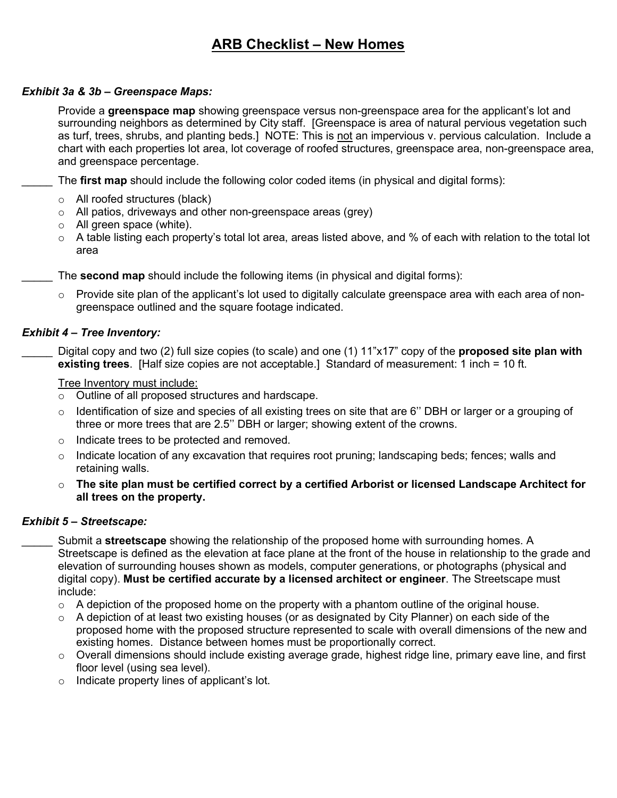# **ARB Checklist – New Homes**

### *Exhibit 3a & 3b – Greenspace Maps:*

 Provide a **greenspace map** showing greenspace versus non-greenspace area for the applicant's lot and surrounding neighbors as determined by City staff. [Greenspace is area of natural pervious vegetation such as turf, trees, shrubs, and planting beds.] NOTE: This is not an impervious v. pervious calculation. Include a chart with each properties lot area, lot coverage of roofed structures, greenspace area, non-greenspace area, and greenspace percentage.

The **first map** should include the following color coded items (in physical and digital forms):

- o All roofed structures (black)
- o All patios, driveways and other non-greenspace areas (grey)
- o All green space (white).
- $\circ$  A table listing each property's total lot area, areas listed above, and % of each with relation to the total lot area

The **second map** should include the following items (in physical and digital forms):

 $\circ$  Provide site plan of the applicant's lot used to digitally calculate greenspace area with each area of nongreenspace outlined and the square footage indicated.

#### *Exhibit 4 – Tree Inventory:*

\_\_\_\_\_ Digital copy and two (2) full size copies (to scale) and one (1) 11"x17" copy of the **proposed site plan with existing trees**. [Half size copies are not acceptable.] Standard of measurement: 1 inch = 10 ft.

Tree Inventory must include:

- o Outline of all proposed structures and hardscape.
- o Identification of size and species of all existing trees on site that are 6'' DBH or larger or a grouping of three or more trees that are 2.5'' DBH or larger; showing extent of the crowns.
- o Indicate trees to be protected and removed.
- $\circ$  Indicate location of any excavation that requires root pruning; landscaping beds; fences; walls and retaining walls.
- o **The site plan must be certified correct by a certified Arborist or licensed Landscape Architect for all trees on the property.**

# *Exhibit 5 – Streetscape:*

\_\_\_\_\_ Submit a **streetscape** showing the relationship of the proposed home with surrounding homes. A Streetscape is defined as the elevation at face plane at the front of the house in relationship to the grade and elevation of surrounding houses shown as models, computer generations, or photographs (physical and digital copy). **Must be certified accurate by a licensed architect or engineer**. The Streetscape must include:

- $\circ$  A depiction of the proposed home on the property with a phantom outline of the original house.
- o A depiction of at least two existing houses (or as designated by City Planner) on each side of the proposed home with the proposed structure represented to scale with overall dimensions of the new and existing homes. Distance between homes must be proportionally correct.
- $\circ$  Overall dimensions should include existing average grade, highest ridge line, primary eave line, and first floor level (using sea level).
- $\circ$  Indicate property lines of applicant's lot.